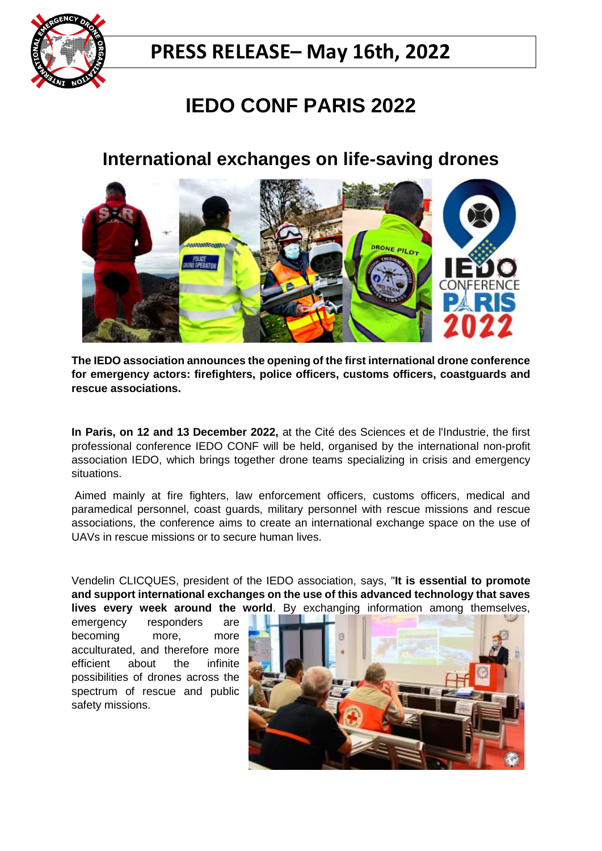

## **PRESS RELEASE– May 16th, 2022**

# **IEDO CONF PARIS 2022**

### **International exchanges on life-saving drones**



**The IEDO association announces the opening of the first international drone conference for emergency actors: firefighters, police officers, customs officers, coastguards and rescue associations.**

**In Paris, on 12 and 13 December 2022,** at the Cité des Sciences et de l'Industrie, the first professional conference IEDO CONF will be held, organised by the international non-profit association IEDO, which brings together drone teams specializing in crisis and emergency situations.

Aimed mainly at fire fighters, law enforcement officers, customs officers, medical and paramedical personnel, coast guards, military personnel with rescue missions and rescue associations, the conference aims to create an international exchange space on the use of UAVs in rescue missions or to secure human lives.

Vendelin CLICQUES, president of the IEDO association, says, "**It is essential to promote and support international exchanges on the use of this advanced technology that saves lives every week around the world**. By exchanging information among themselves,

emergency responders are becoming more, more acculturated, and therefore more efficient about the infinite possibilities of drones across the spectrum of rescue and public safety missions.